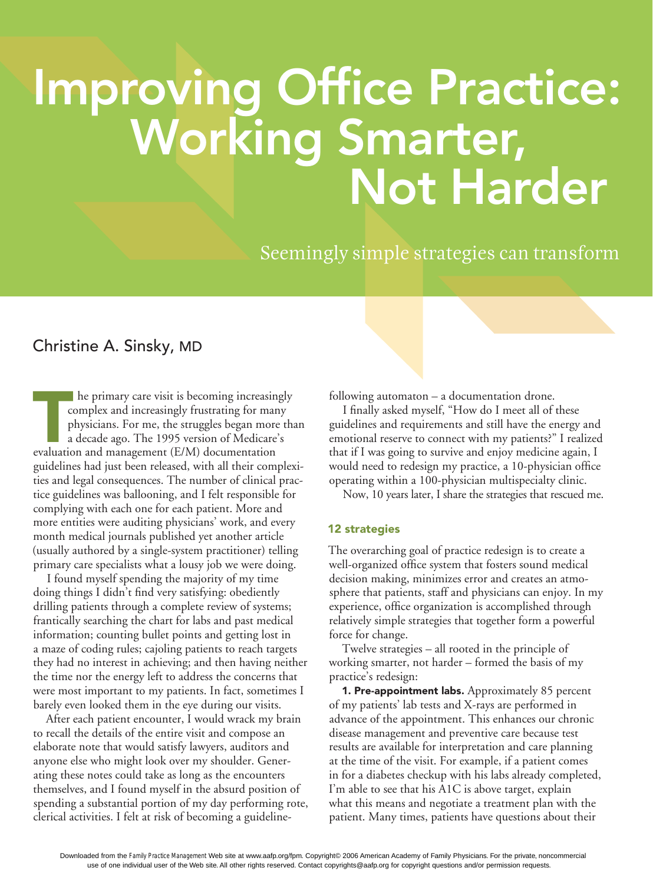# Improving Office Practice: Working Smarter, Not Harder

Seemingly simple strategies can transform

### Christine A. Sinsky, MD

The primary care visit is becoming increasingly<br>complex and increasingly frustrating for many<br>physicians. For me, the struggles began more that<br>a decade ago. The 1995 version of Medicare's<br>evaluation and management (E/M) d complex and increasingly frustrating for many physicians. For me, the struggles began more than a decade ago. The 1995 version of Medicare's evaluation and management (E/M) documentation guidelines had just been released, with all their complexities and legal consequences. The number of clinical practice guidelines was ballooning, and I felt responsible for complying with each one for each patient. More and more entities were auditing physicians' work, and every month medical journals published yet another article (usually authored by a single-system practitioner) telling primary care specialists what a lousy job we were doing.

I found myself spending the majority of my time doing things I didn't find very satisfying: obediently drilling patients through a complete review of systems; frantically searching the chart for labs and past medical information; counting bullet points and getting lost in a maze of coding rules; cajoling patients to reach targets they had no interest in achieving; and then having neither the time nor the energy left to address the concerns that were most important to my patients. In fact, sometimes I barely even looked them in the eye during our visits.

After each patient encounter, I would wrack my brain to recall the details of the entire visit and compose an elaborate note that would satisfy lawyers, auditors and anyone else who might look over my shoulder. Generating these notes could take as long as the encounters themselves, and I found myself in the absurd position of spending a substantial portion of my day performing rote, clerical activities. I felt at risk of becoming a guidelinefollowing automaton – a documentation drone.

I finally asked myself, "How do I meet all of these guidelines and requirements and still have the energy and emotional reserve to connect with my patients?" I realized that if I was going to survive and enjoy medicine again, I would need to redesign my practice, a 10-physician office operating within a 100-physician multispecialty clinic.

Now, 10 years later, I share the strategies that rescued me.

### 12 strategies

The overarching goal of practice redesign is to create a well-organized office system that fosters sound medical decision making, minimizes error and creates an atmosphere that patients, staff and physicians can enjoy. In my experience, office organization is accomplished through relatively simple strategies that together form a powerful force for change.

Twelve strategies – all rooted in the principle of working smarter, not harder – formed the basis of my practice's redesign:

1. Pre-appointment labs. Approximately 85 percent of my patients' lab tests and X-rays are performed in advance of the appointment. This enhances our chronic disease management and preventive care because test results are available for interpretation and care planning at the time of the visit. For example, if a patient comes in for a diabetes checkup with his labs already completed, I'm able to see that his A1C is above target, explain what this means and negotiate a treatment plan with the patient. Many times, patients have questions about their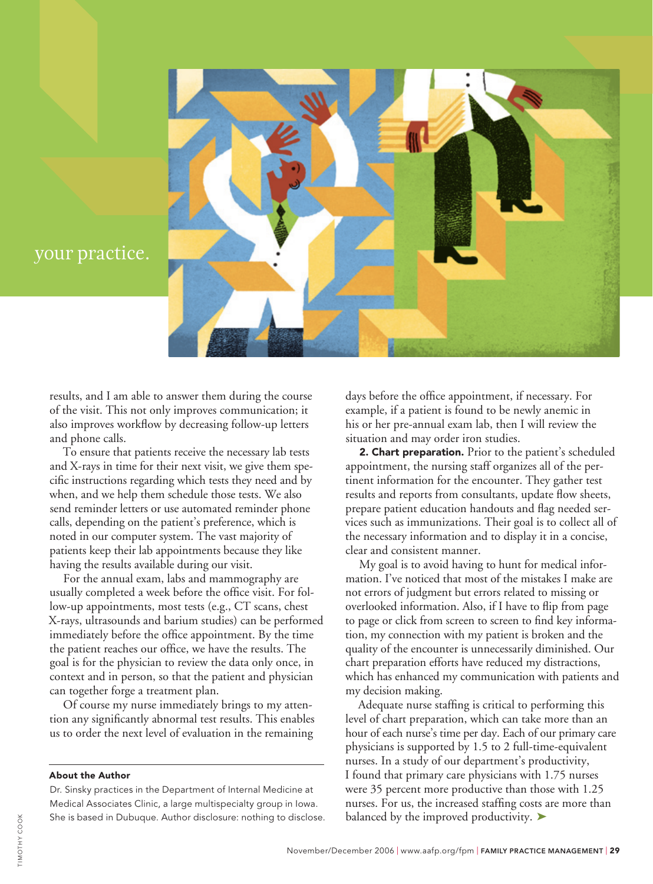

## your practice.

results, and I am able to answer them during the course of the visit. This not only improves communication; it also improves workflow by decreasing follow-up letters and phone calls.

To ensure that patients receive the necessary lab tests and X-rays in time for their next visit, we give them specific instructions regarding which tests they need and by when, and we help them schedule those tests. We also send reminder letters or use automated reminder phone calls, depending on the patient's preference, which is noted in our computer system. The vast majority of patients keep their lab appointments because they like having the results available during our visit.

For the annual exam, labs and mammography are usually completed a week before the office visit. For follow-up appointments, most tests (e.g., CT scans, chest X-rays, ultrasounds and barium studies) can be performed immediately before the office appointment. By the time the patient reaches our office, we have the results. The goal is for the physician to review the data only once, in context and in person, so that the patient and physician can together forge a treatment plan.

Of course my nurse immediately brings to my attention any significantly abnormal test results. This enables us to order the next level of evaluation in the remaining

### About the Author

Dr. Sinsky practices in the Department of Internal Medicine at Medical Associates Clinic, a large multispecialty group in Iowa. She is based in Dubuque. Author disclosure: nothing to disclose. days before the office appointment, if necessary. For example, if a patient is found to be newly anemic in his or her pre-annual exam lab, then I will review the situation and may order iron studies.

2. Chart preparation. Prior to the patient's scheduled appointment, the nursing staff organizes all of the pertinent information for the encounter. They gather test results and reports from consultants, update flow sheets, prepare patient education handouts and flag needed services such as immunizations. Their goal is to collect all of the necessary information and to display it in a concise, clear and consistent manner.

My goal is to avoid having to hunt for medical information. I've noticed that most of the mistakes I make are not errors of judgment but errors related to missing or overlooked information. Also, if I have to flip from page to page or click from screen to screen to find key information, my connection with my patient is broken and the quality of the encounter is unnecessarily diminished. Our chart preparation efforts have reduced my distractions, which has enhanced my communication with patients and my decision making.

Adequate nurse staffing is critical to performing this level of chart preparation, which can take more than an hour of each nurse's time per day. Each of our primary care physicians is supported by 1.5 to 2 full-time-equivalent nurses. In a study of our department's productivity, I found that primary care physicians with 1.75 nurses were 35 percent more productive than those with 1.25 nurses. For us, the increased staffing costs are more than balanced by the improved productivity.  $\blacktriangleright$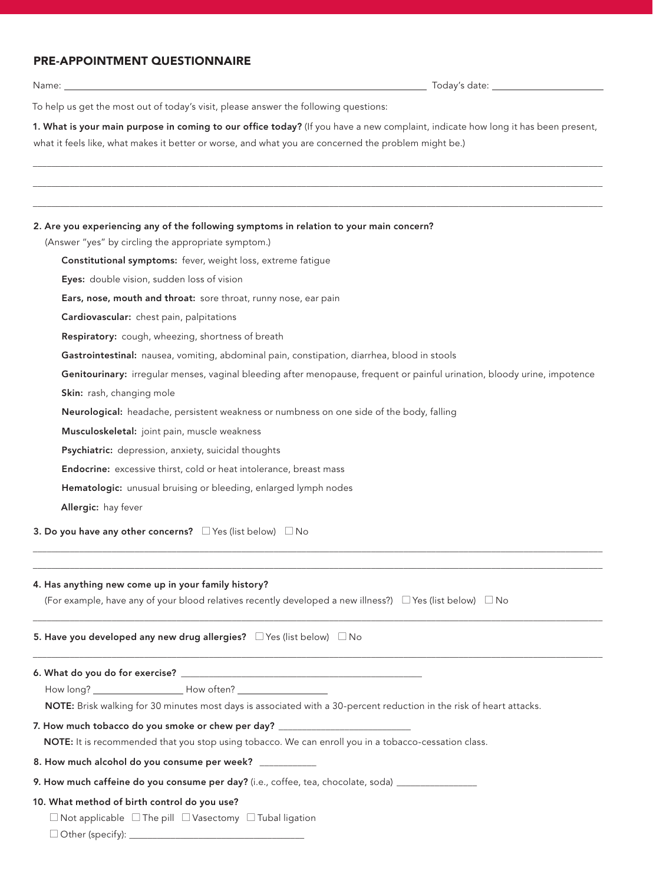### Pre-appointment Questionnaire

Name: Today's date:

To help us get the most out of today's visit, please answer the following questions:

1. What is your main purpose in coming to our office today? (If you have a new complaint, indicate how long it has been present, what it feels like, what makes it better or worse, and what you are concerned the problem might be.)

\_\_\_\_\_\_\_\_\_\_\_\_\_\_\_\_\_\_\_\_\_\_\_\_\_\_\_\_\_\_\_\_\_\_\_\_\_\_\_\_\_\_\_\_\_\_\_\_\_\_\_\_\_\_\_\_\_\_\_\_\_\_\_\_\_\_\_\_\_\_\_\_\_\_\_\_\_\_\_\_\_\_\_\_\_\_\_\_\_\_\_\_\_\_\_\_\_\_\_\_\_\_\_\_\_\_\_\_\_\_\_\_\_\_\_\_\_\_\_\_\_\_\_  $\Box$ \_\_\_\_\_\_\_\_\_\_\_\_\_\_\_\_\_\_\_\_\_\_\_\_\_\_\_\_\_\_\_\_\_\_\_\_\_\_\_\_\_\_\_\_\_\_\_\_\_\_\_\_\_\_\_\_\_\_\_\_\_\_\_\_\_\_\_\_\_\_\_\_\_\_\_\_\_\_\_\_\_\_\_\_\_\_\_\_\_\_\_\_\_\_\_\_\_\_\_\_\_\_\_\_\_\_\_\_\_\_\_\_\_\_\_\_\_\_\_\_\_\_\_

|  |  |  | 2. Are you experiencing any of the following symptoms in relation to your main concern? |  |
|--|--|--|-----------------------------------------------------------------------------------------|--|
|--|--|--|-----------------------------------------------------------------------------------------|--|

(Answer "yes" by circling the appropriate symptom.)

Constitutional symptoms: fever, weight loss, extreme fatigue

Eyes: double vision, sudden loss of vision

Ears, nose, mouth and throat: sore throat, runny nose, ear pain

Cardiovascular: chest pain, palpitations

Respiratory: cough, wheezing, shortness of breath

Gastrointestinal: nausea, vomiting, abdominal pain, constipation, diarrhea, blood in stools

Genitourinary: irregular menses, vaginal bleeding after menopause, frequent or painful urination, bloody urine, impotence

\_\_\_\_\_\_\_\_\_\_\_\_\_\_\_\_\_\_\_\_\_\_\_\_\_\_\_\_\_\_\_\_\_\_\_\_\_\_\_\_\_\_\_\_\_\_\_\_\_\_\_\_\_\_\_\_\_\_\_\_\_\_\_\_\_\_\_\_\_\_\_\_\_\_\_\_\_\_\_\_\_\_\_\_\_\_\_\_\_\_\_\_\_\_\_\_\_\_\_\_\_\_\_\_\_\_\_\_\_\_\_\_\_\_\_\_\_\_\_\_\_\_\_ \_\_\_\_\_\_\_\_\_\_\_\_\_\_\_\_\_\_\_\_\_\_\_\_\_\_\_\_\_\_\_\_\_\_\_\_\_\_\_\_\_\_\_\_\_\_\_\_\_\_\_\_\_\_\_\_\_\_\_\_\_\_\_\_\_\_\_\_\_\_\_\_\_\_\_\_\_\_\_\_\_\_\_\_\_\_\_\_\_\_\_\_\_\_\_\_\_\_\_\_\_\_\_\_\_\_\_\_\_\_\_\_\_\_\_\_\_\_\_\_\_\_\_

\_\_\_\_\_\_\_\_\_\_\_\_\_\_\_\_\_\_\_\_\_\_\_\_\_\_\_\_\_\_\_\_\_\_\_\_\_\_\_\_\_\_\_\_\_\_\_\_\_\_\_\_\_\_\_\_\_\_\_\_\_\_\_\_\_\_\_\_\_\_\_\_\_\_\_\_\_\_\_\_\_\_\_\_\_\_\_\_\_\_\_\_\_\_\_\_\_\_\_\_\_\_\_\_\_\_\_\_\_\_\_\_\_\_\_\_\_\_\_\_\_\_\_

\_\_\_\_\_\_\_\_\_\_\_\_\_\_\_\_\_\_\_\_\_\_\_\_\_\_\_\_\_\_\_\_\_\_\_\_\_\_\_\_\_\_\_\_\_\_\_\_\_\_\_\_\_\_\_\_\_\_\_\_\_\_\_\_\_\_\_\_\_\_\_\_\_\_\_\_\_\_\_\_\_\_\_\_\_\_\_\_\_\_\_\_\_\_\_\_\_\_\_\_\_\_\_\_\_\_\_\_\_\_\_\_\_\_\_\_\_\_\_\_\_\_\_

Skin: rash, changing mole

Neurological: headache, persistent weakness or numbness on one side of the body, falling

Musculoskeletal: joint pain, muscle weakness

Psychiatric: depression, anxiety, suicidal thoughts

Endocrine: excessive thirst, cold or heat intolerance, breast mass

Hematologic: unusual bruising or bleeding, enlarged lymph nodes

Allergic: hay fever

3. Do you have any other concerns?  $\Box$  Yes (list below)  $\Box$  No

### 4. Has anything new come up in your family history?

(For example, have any of your blood relatives recently developed a new illness?)  $\Box$  Yes (list below)  $\Box$  No

5. Have you developed any new drug allergies?  $\Box$  Yes (list below)  $\Box$  No

| 6. What do you do for exercise? |  |
|---------------------------------|--|
|                                 |  |

How long? How often?

NOTE: Brisk walking for 30 minutes most days is associated with a 30-percent reduction in the risk of heart attacks.

### 7. How much tobacco do you smoke or chew per day? \_\_\_\_\_\_\_\_\_\_\_\_\_\_\_\_\_\_\_\_\_\_\_\_\_\_\_\_\_\_

NOTE: It is recommended that you stop using tobacco. We can enroll you in a tobacco-cessation class.

8. How much alcohol do you consume per week? \_

9. How much caffeine do you consume per day? (i.e., coffee, tea, chocolate, soda) \_\_\_\_\_\_\_\_\_\_\_\_\_\_\_\_\_\_

### 10. What method of birth control do you use?

 $\Box$  Not applicable  $\Box$  The pill  $\Box$  Vasectomy  $\Box$  Tubal ligation

 $\square$  Other (specify):  $\_$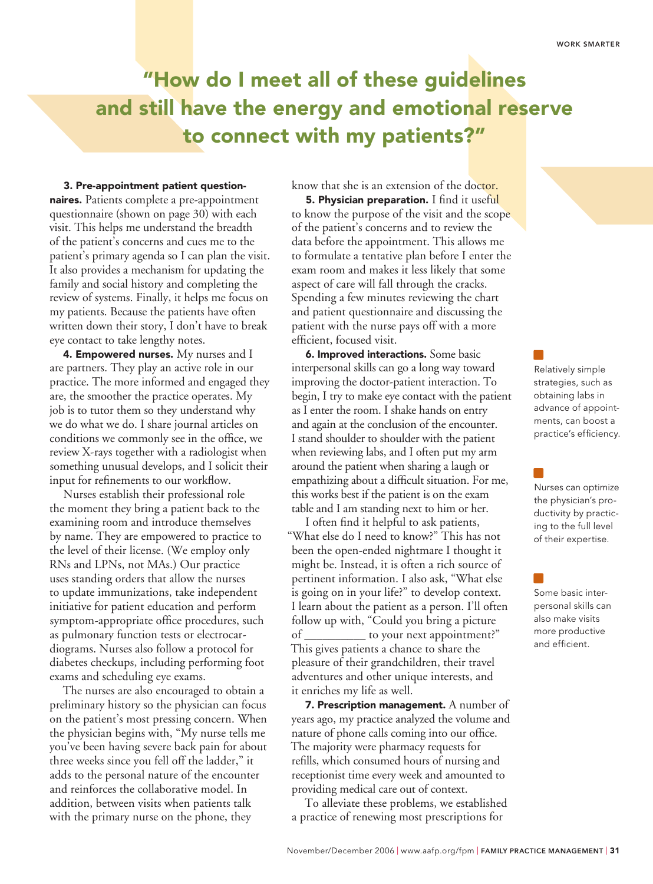# "How do I meet all of these guidelines and still have the energy and emotional reserve to connect with my patients?"

### 3. Pre-appointment patient question-

naires. Patients complete a pre-appointment questionnaire (shown on page 30) with each visit. This helps me understand the breadth of the patient's concerns and cues me to the patient's primary agenda so I can plan the visit. It also provides a mechanism for updating the family and social history and completing the review of systems. Finally, it helps me focus on my patients. Because the patients have often written down their story, I don't have to break eye contact to take lengthy notes.

4. Empowered nurses. My nurses and I are partners. They play an active role in our practice. The more informed and engaged they are, the smoother the practice operates. My job is to tutor them so they understand why we do what we do. I share journal articles on conditions we commonly see in the office, we review X-rays together with a radiologist when something unusual develops, and I solicit their input for refinements to our workflow.

Nurses establish their professional role the moment they bring a patient back to the examining room and introduce themselves by name. They are empowered to practice to the level of their license. (We employ only RNs and LPNs, not MAs.) Our practice uses standing orders that allow the nurses to update immunizations, take independent initiative for patient education and perform symptom-appropriate office procedures, such as pulmonary function tests or electrocardiograms. Nurses also follow a protocol for diabetes checkups, including performing foot exams and scheduling eye exams.

The nurses are also encouraged to obtain a preliminary history so the physician can focus on the patient's most pressing concern. When the physician begins with, "My nurse tells me you've been having severe back pain for about three weeks since you fell off the ladder," it adds to the personal nature of the encounter and reinforces the collaborative model. In addition, between visits when patients talk with the primary nurse on the phone, they

know that she is an extension of the doctor.

5. Physician preparation. I find it useful to know the purpose of the visit and the scope of the patient's concerns and to review the data before the appointment. This allows me to formulate a tentative plan before I enter the exam room and makes it less likely that some aspect of care will fall through the cracks. Spending a few minutes reviewing the chart and patient questionnaire and discussing the patient with the nurse pays off with a more efficient, focused visit.

6. Improved interactions. Some basic interpersonal skills can go a long way toward improving the doctor-patient interaction. To begin, I try to make eye contact with the patient as I enter the room. I shake hands on entry and again at the conclusion of the encounter. I stand shoulder to shoulder with the patient when reviewing labs, and I often put my arm around the patient when sharing a laugh or empathizing about a difficult situation. For me, this works best if the patient is on the exam table and I am standing next to him or her.

I often find it helpful to ask patients, "What else do I need to know?" This has not been the open-ended nightmare I thought it might be. Instead, it is often a rich source of pertinent information. I also ask, "What else is going on in your life?" to develop context. I learn about the patient as a person. I'll often follow up with, "Could you bring a picture of \_\_\_\_\_\_\_\_\_\_ to your next appointment?" This gives patients a chance to share the pleasure of their grandchildren, their travel adventures and other unique interests, and it enriches my life as well.

7. Prescription management. A number of years ago, my practice analyzed the volume and nature of phone calls coming into our office. The majority were pharmacy requests for refills, which consumed hours of nursing and receptionist time every week and amounted to providing medical care out of context.

To alleviate these problems, we established a practice of renewing most prescriptions for

Relatively simple strategies, such as obtaining labs in advance of appointments, can boost a practice's efficiency.

Nurses can optimize the physician's productivity by practicing to the full level of their expertise.

Some basic interpersonal skills can also make visits more productive and efficient.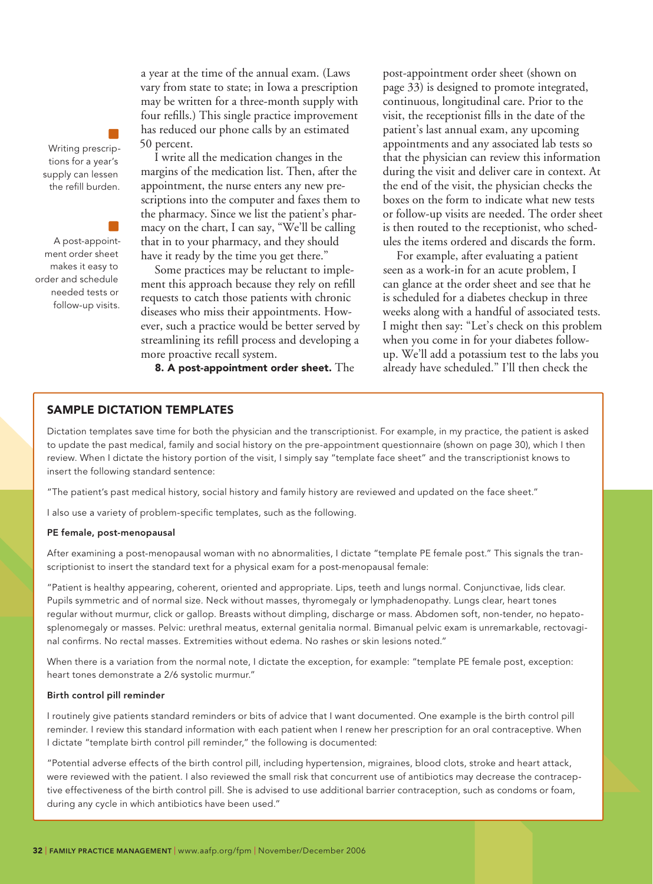a year at the time of the annual exam. (Laws vary from state to state; in Iowa a prescription may be written for a three-month supply with four refills.) This single practice improvement has reduced our phone calls by an estimated 50 percent.

I write all the medication changes in the margins of the medication list. Then, after the appointment, the nurse enters any new prescriptions into the computer and faxes them to the pharmacy. Since we list the patient's pharmacy on the chart, I can say, "We'll be calling that in to your pharmacy, and they should have it ready by the time you get there."

Some practices may be reluctant to implement this approach because they rely on refill requests to catch those patients with chronic diseases who miss their appointments. However, such a practice would be better served by streamlining its refill process and developing a more proactive recall system.

8. A post-appointment order sheet. The

post-appointment order sheet (shown on page 33) is designed to promote integrated, continuous, longitudinal care. Prior to the visit, the receptionist fills in the date of the patient's last annual exam, any upcoming appointments and any associated lab tests so that the physician can review this information during the visit and deliver care in context. At the end of the visit, the physician checks the boxes on the form to indicate what new tests or follow-up visits are needed. The order sheet is then routed to the receptionist, who schedules the items ordered and discards the form.

For example, after evaluating a patient seen as a work-in for an acute problem, I can glance at the order sheet and see that he is scheduled for a diabetes checkup in three weeks along with a handful of associated tests. I might then say: "Let's check on this problem when you come in for your diabetes followup. We'll add a potassium test to the labs you already have scheduled." I'll then check the

### Sample dictation templates

Dictation templates save time for both the physician and the transcriptionist. For example, in my practice, the patient is asked to update the past medical, family and social history on the pre-appointment questionnaire (shown on page 30), which I then review. When I dictate the history portion of the visit, I simply say "template face sheet" and the transcriptionist knows to insert the following standard sentence:

"The patient's past medical history, social history and family history are reviewed and updated on the face sheet."

I also use a variety of problem-specific templates, such as the following.

### PE female, post-menopausal

After examining a post-menopausal woman with no abnormalities, I dictate "template PE female post." This signals the transcriptionist to insert the standard text for a physical exam for a post-menopausal female:

"Patient is healthy appearing, coherent, oriented and appropriate. Lips, teeth and lungs normal. Conjunctivae, lids clear. Pupils symmetric and of normal size. Neck without masses, thyromegaly or lymphadenopathy. Lungs clear, heart tones regular without murmur, click or gallop. Breasts without dimpling, discharge or mass. Abdomen soft, non-tender, no hepatosplenomegaly or masses. Pelvic: urethral meatus, external genitalia normal. Bimanual pelvic exam is unremarkable, rectovaginal confirms. No rectal masses. Extremities without edema. No rashes or skin lesions noted."

When there is a variation from the normal note, I dictate the exception, for example: "template PE female post, exception: heart tones demonstrate a 2/6 systolic murmur."

### Birth control pill reminder

I routinely give patients standard reminders or bits of advice that I want documented. One example is the birth control pill reminder. I review this standard information with each patient when I renew her prescription for an oral contraceptive. When I dictate "template birth control pill reminder," the following is documented:

"Potential adverse effects of the birth control pill, including hypertension, migraines, blood clots, stroke and heart attack, were reviewed with the patient. I also reviewed the small risk that concurrent use of antibiotics may decrease the contraceptive effectiveness of the birth control pill. She is advised to use additional barrier contraception, such as condoms or foam, during any cycle in which antibiotics have been used."

Writing prescriptions for a year's supply can lessen the refill burden.

A post-appointment order sheet makes it easy to order and schedule needed tests or follow-up visits.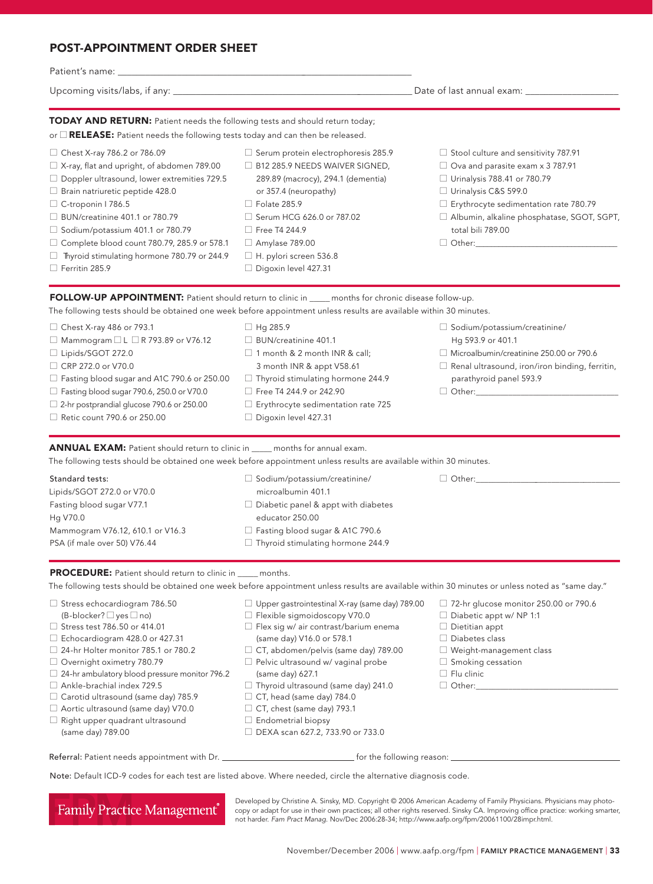### Post-Appointment Order Sheet

| <b>TODAY AND RETURN:</b> Patient needs the following tests and should return today;<br>or $\square$ RELEASE: Patient needs the following tests today and can then be released.                                                                                                                                                                                                                           |                                                                                                                                                                                                                                                                                                        |                                                                                                                                                                                                                                                                    |  |  |  |  |
|----------------------------------------------------------------------------------------------------------------------------------------------------------------------------------------------------------------------------------------------------------------------------------------------------------------------------------------------------------------------------------------------------------|--------------------------------------------------------------------------------------------------------------------------------------------------------------------------------------------------------------------------------------------------------------------------------------------------------|--------------------------------------------------------------------------------------------------------------------------------------------------------------------------------------------------------------------------------------------------------------------|--|--|--|--|
| $\Box$ Chest X-ray 786.2 or 786.09<br>□ X-ray, flat and upright, of abdomen 789.00<br>□ Doppler ultrasound, lower extremities 729.5<br>□ Brain natriuretic peptide 428.0<br>□ C-troponin I 786.5<br>$\Box$ BUN/creatinine 401.1 or 780.79<br>□ Sodium/potassium 401.1 or 780.79<br>□ Complete blood count 780.79, 285.9 or 578.1<br>Thyroid stimulating hormone 780.79 or 244.9<br>$\Box$ Ferritin 285.9 | $\Box$ Serum protein electrophoresis 285.9<br>B12 285.9 NEEDS WAIVER SIGNED,<br>289.89 (macrocy), 294.1 (dementia)<br>or 357.4 (neuropathy)<br>$\Box$ Folate 285.9<br>□ Serum HCG 626.0 or 787.02<br>Free T4 244.9<br>$\Box$ Amylase 789.00<br>□ H. pylori screen 536.8<br>$\Box$ Digoxin level 427.31 | $\Box$ Stool culture and sensitivity 787.91<br>$\Box$ Ova and parasite exam x 3 787.91<br>□ Urinalysis 788.41 or 780.79<br>Urinalysis C&S 599.0<br>$\Box$ Erythrocyte sedimentation rate 780.79<br>Albumin, alkaline phosphatase, SGOT, SGPT,<br>total bili 789.00 |  |  |  |  |
| FOLLOW-UP APPOINTMENT: Patient should return to clinic in ____ months for chronic disease follow-up.<br>The following tests should be obtained one week before appointment unless results are available within 30 minutes.                                                                                                                                                                               |                                                                                                                                                                                                                                                                                                        |                                                                                                                                                                                                                                                                    |  |  |  |  |
| $\Box$ Chest X-ray 486 or 793.1<br>$\Box$ Mammogram $\Box$ L $\Box$ R 793.89 or V76.12<br>□ Lipids/SGOT 272.0<br>□ CRP 272.0 or V70.0<br>$\Box$ Fasting blood sugar and A1C 790.6 or 250.00<br>□ Fasting blood sugar 790.6, 250.0 or V70.0<br>□ 2-hr postprandial glucose 790.6 or 250.00<br>Retic count 790.6 or 250.00                                                                                 | $\Box$ Hg 285.9<br>BUN/creatinine 401.1<br>$\Box$ 1 month & 2 month INR & call;<br>3 month INR & appt V58.61<br>$\Box$ Thyroid stimulating hormone 244.9<br>Free T4 244.9 or 242.90<br>$\Box$ Erythrocyte sedimentation rate 725<br>$\Box$ Digoxin level 427.31                                        | □ Sodium/potassium/creatinine/<br>Hg 593.9 or 401.1<br>□ Microalbumin/creatinine 250.00 or 790.6<br>$\Box$ Renal ultrasound, iron/iron binding, ferritin,<br>parathyroid panel 593.9                                                                               |  |  |  |  |
| <b>ANNUAL EXAM:</b> Patient should return to clinic in _____ months for annual exam.<br>The following tests should be obtained one week before appointment unless results are available within 30 minutes.                                                                                                                                                                                               |                                                                                                                                                                                                                                                                                                        |                                                                                                                                                                                                                                                                    |  |  |  |  |
| Standard tests:<br>Lipids/SGOT 272.0 or V70.0<br>Fasting blood sugar V77.1<br>Hg V70.0<br>Mammogram V76.12, 610.1 or V16.3<br>PSA (if male over 50) V76.44                                                                                                                                                                                                                                               | $\Box$ Sodium/potassium/creatinine/<br>microalbumin 401.1<br>$\Box$ Diabetic panel & appt with diabetes<br>educator 250.00<br>Fasting blood sugar & A1C 790.6<br>$\Box$ Thyroid stimulating hormone 244.9                                                                                              | $\Box$ Other:                                                                                                                                                                                                                                                      |  |  |  |  |

**PROCEDURE:** Patient should return to clinic in \_\_\_\_\_ months.

The following tests should be obtained one week before appointment unless results are available within 30 minutes or unless noted as "same day."

- $\Box$  Stress echocardiogram 786.50 (B-blocker?  $\Box$  yes  $\Box$  no)
- $\Box$  Stress test 786.50 or 414.01
- $\Box$  Echocardiogram 428.0 or 427.31
- $\Box$  24-hr Holter monitor 785.1 or 780.2
- $\Box$  Overnight oximetry 780.79
- $\Box$  24-hr ambulatory blood pressure monitor 796.2
- $\Box$  Ankle-brachial index 729.5
- $\Box$  Carotid ultrasound (same day) 785.9
- $\Box$  Aortic ultrasound (same day) V70.0  $\Box$  Right upper quadrant ultrasound (same day) 789.00
- $\Box$  Upper gastrointestinal X-ray (same day) 789.00  $\quad \ \Box$  72-hr glucose monitor 250.00 or 790.6
- $\Box$  Flexible sigmoidoscopy V70.0  $\Box$  Flex sig w/ air contrast/barium enema
- (same day) V16.0 or 578.1
- $\Box$  CT, abdomen/pelvis (same day) 789.00
- $\Box$  Pelvic ultrasound w/ vaginal probe (same day) 627.1
- $\Box$  Thyroid ultrasound (same day) 241.0
- $\Box$  CT, head (same day) 784.0
- $\Box$  CT, chest (same day) 793.1
- $\Box$  Endometrial biopsy
- □ DEXA scan 627.2, 733.90 or 733.0

Referral: Patient needs appointment with Dr. for the following reason:

Note: Default ICD-9 codes for each test are listed above. Where needed, circle the alternative diagnosis code.

# Family Practice Management

Developed by Christine A. Sinsky, MD. Copyright © 2006 American Academy of Family Physicians. Physicians may photocopy or adapt for use in their own practices; all other rights reserved. Sinsky CA. Improving office practice: working smarter, not harder. *Fam Pract Manag*. Nov/Dec 2006:28-34; http://www.aafp.org/fpm/20061100/28impr.html.

□ Diabetic appt w/ NP 1:1 Dietitian appt D Diabetes class

**I** Weight-management class  $\Box$  Smoking cessation  $\square$  Flu clinic  $\square$  Other: